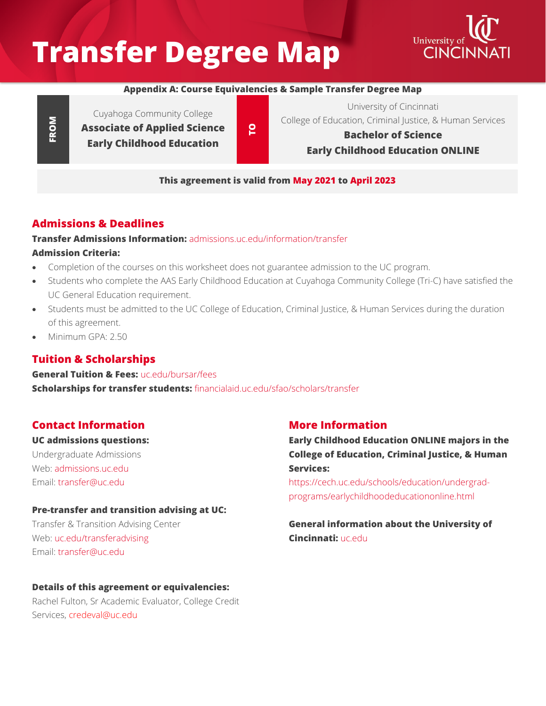# **Transfer Degree Map**



#### **Appendix A: Course Equivalencies & Sample Transfer Degree Map**

**FROM**

Cuyahoga Community College **Associate of Applied Science Early Childhood Education**

**TO**

**Bachelor of Science Early Childhood Education ONLINE**

University of Cincinnati College of Education, Criminal Justice, & Human Services

## **This agreement is valid from May 2021 to April 2023**

# **Admissions & Deadlines**

## **Transfer Admissions Information:** [admissions.uc.edu/information/transfer](https://admissions.uc.edu/information/transfer.html) **Admission Criteria:**

- Completion of the courses on this worksheet does not guarantee admission to the UC program.
- Students who complete the AAS Early Childhood Education at Cuyahoga Community College (Tri-C) have satisfied the UC General Education requirement.
- Students must be admitted to the UC College of Education, Criminal Justice, & Human Services during the duration of this agreement.
- Minimum GPA: 2.50

## **Tuition & Scholarships**

#### **General Tuition & Fees: [uc.edu/bursar/fees](https://www.uc.edu/bursar/fees.html) Scholarships for transfer students:** [financialaid.uc.edu/sfao/scholars/transfer](https://financialaid.uc.edu/sfao/scholars/transfer)

## **Contact Information**

#### **UC admissions questions:**

Undergraduate Admissions Web: admissions uc.edu Email: [transfer@uc.edu](mailto:transfer@uc.edu)

#### **Pre-transfer and transition advising at UC:**

Transfer & Transition Advising Center Web: [uc.edu/transferadvising](https://www.uc.edu/transferadvising.html) Email: [transfer@uc.edu](mailto:transfer@uc.edu)

#### **Details of this agreement or equivalencies:**

Rachel Fulton, Sr Academic Evaluator, College Credit Services, [credeval@uc.edu](mailto:credeval@uc.edu)

## **More Information**

## **Early Childhood Education ONLINE majors in the College of Education, Criminal Justice, & Human Services:**

[https://cech.uc.edu/schools/education/undergrad](https://cech.uc.edu/schools/education/undergrad-programs/earlychildhoodeducationonline.html)[programs/earlychildhoodeducationonline.html](https://cech.uc.edu/schools/education/undergrad-programs/earlychildhoodeducationonline.html)

### **General information about the University of Cincinnati:** [uc.edu](https://www.uc.edu/)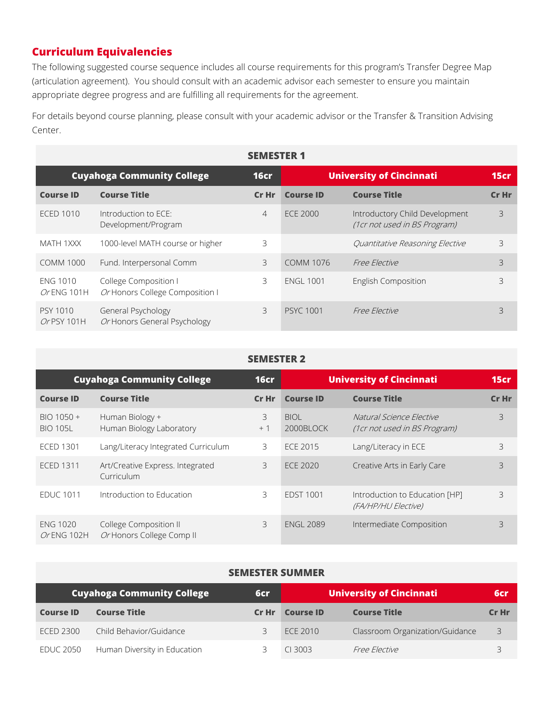## **Curriculum Equivalencies**

The following suggested course sequence includes all course requirements for this program's Transfer Degree Map (articulation agreement). You should consult with an academic advisor each semester to ensure you maintain appropriate degree progress and are fulfilling all requirements for the agreement.

For details beyond course planning, please consult with your academic advisor or the Transfer & Transition Advising Center.

| <b>SEMESTER 1</b>              |                                                          |                |                                 |                                                                |             |
|--------------------------------|----------------------------------------------------------|----------------|---------------------------------|----------------------------------------------------------------|-------------|
|                                | <b>Cuyahoga Community College</b>                        | <b>16cr</b>    | <b>University of Cincinnati</b> |                                                                | <b>15cr</b> |
| <b>Course ID</b>               | <b>Course Title</b>                                      | Cr Hr          | <b>Course ID</b>                | <b>Course Title</b>                                            | Cr Hr       |
| <b>ECED 1010</b>               | Introduction to ECE:<br>Development/Program              | $\overline{4}$ | <b>ECE 2000</b>                 | Introductory Child Development<br>(1cr not used in BS Program) | 3           |
| MATH 1XXX                      | 1000-level MATH course or higher                         | 3              |                                 | Quantitative Reasoning Elective                                | 3           |
| <b>COMM 1000</b>               | Fund. Interpersonal Comm                                 | 3              | <b>COMM 1076</b>                | Free Elective                                                  | 3           |
| <b>ENG 1010</b><br>Or ENG 101H | College Composition I<br>Or Honors College Composition I | 3              | <b>ENGL 1001</b>                | English Composition                                            | 3           |
| PSY 1010<br>$Or$ PSY 101H      | General Psychology<br>Or Honors General Psychology       | 3              | <b>PSYC 1001</b>                | Free Elective                                                  | 3           |

#### **SEMESTER 2**

|                                | <b>Cuyahoga Community College</b>                   | 16 <sub>cr</sub> |                          | <b>University of Cincinnati</b>                          | 15cr  |
|--------------------------------|-----------------------------------------------------|------------------|--------------------------|----------------------------------------------------------|-------|
| <b>Course ID</b>               | <b>Course Title</b>                                 | Cr Hr            | <b>Course ID</b>         | <b>Course Title</b>                                      | Cr Hr |
| BIO 1050 +<br><b>BIO 105L</b>  | Human Biology +<br>Human Biology Laboratory         | 3<br>$+1$        | <b>BIOL</b><br>2000BLOCK | Natural Science Elective<br>(1cr not used in BS Program) | 3     |
| <b>ECED 1301</b>               | Lang/Literacy Integrated Curriculum                 | 3                | <b>ECE 2015</b>          | Lang/Literacy in ECE                                     | 3     |
| <b>ECED 1311</b>               | Art/Creative Express. Integrated<br>Curriculum      | 3                | <b>ECE 2020</b>          | Creative Arts in Early Care                              | 3     |
| <b>EDUC 1011</b>               | Introduction to Education                           | 3                | <b>EDST 1001</b>         | Introduction to Education [HP]<br>(FA/HP/HU Elective)    | 3     |
| <b>ENG 1020</b><br>Or ENG 102H | College Composition II<br>Or Honors College Comp II | 3                | <b>ENGL 2089</b>         | Intermediate Composition                                 | 3     |

#### **SEMESTER SUMMER**

| <b>Cuyahoga Community College</b> |                              | 6cr   | <b>University of Cincinnati</b> |                                 |       |
|-----------------------------------|------------------------------|-------|---------------------------------|---------------------------------|-------|
| <b>Course ID</b>                  | <b>Course Title</b>          | Cr Hr | <b>Course ID</b>                | <b>Course Title</b>             | Cr Hr |
| ECED 2300                         | Child Behavior/Guidance      | ⊇     | ECE 2010                        | Classroom Organization/Guidance | -3    |
| EDUC 2050                         | Human Diversity in Education |       | $CI$ 3003                       | <i>Free Flective</i>            |       |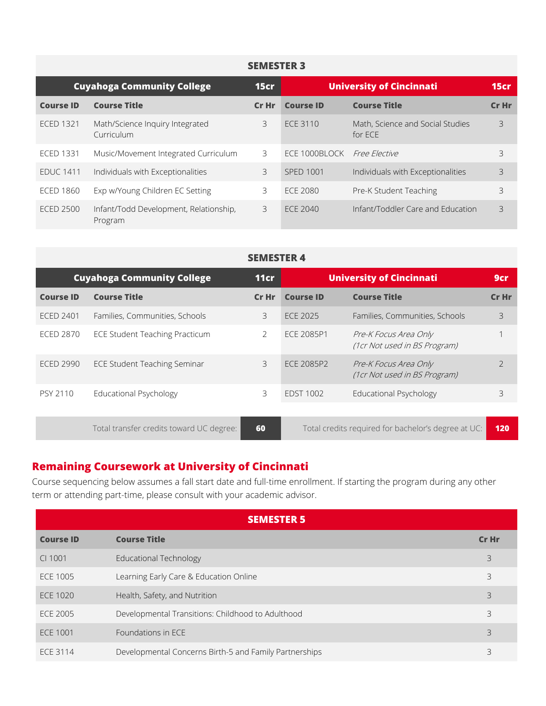| <b>SEMESTER 3</b>                 |                                                   |         |                                 |                                             |       |
|-----------------------------------|---------------------------------------------------|---------|---------------------------------|---------------------------------------------|-------|
| <b>Cuyahoga Community College</b> |                                                   |         | <b>University of Cincinnati</b> |                                             | 15cr  |
| <b>Course ID</b>                  | <b>Course Title</b>                               | $Cr$ Hr | <b>Course ID</b>                | <b>Course Title</b>                         | Cr Hr |
| <b>ECED 1321</b>                  | Math/Science Inquiry Integrated<br>Curriculum     | 3       | ECE 3110                        | Math, Science and Social Studies<br>for ECE | 3     |
| <b>ECED 1331</b>                  | Music/Movement Integrated Curriculum              | 3       | ECE 1000BLOCK                   | <i>Free Elective</i>                        | 3     |
| <b>EDUC 1411</b>                  | Individuals with Exceptionalities                 | 3       | <b>SPED 1001</b>                | Individuals with Exceptionalities           | 3     |
| <b>ECED 1860</b>                  | Exp w/Young Children EC Setting                   | 3       | ECE 2080                        | Pre-K Student Teaching                      | 3     |
| <b>ECED 2500</b>                  | Infant/Todd Development, Relationship,<br>Program | 3       | ECE 2040                        | Infant/Toddler Care and Education           | 3     |

#### **SEMESTER 4**

| <b>Cuyahoga Community College</b> |                                          | 11cr  | <b>University of Cincinnati</b> |                                                       | 9cr            |
|-----------------------------------|------------------------------------------|-------|---------------------------------|-------------------------------------------------------|----------------|
| <b>Course ID</b>                  | <b>Course Title</b>                      | Cr Hr | <b>Course ID</b>                | <b>Course Title</b>                                   | Cr Hr          |
| <b>ECED 2401</b>                  | Families, Communities, Schools           | 3     | ECE 2025                        | Families, Communities, Schools                        | 3              |
| <b>ECED 2870</b>                  | <b>ECE Student Teaching Practicum</b>    | 2     | <b>ECE 2085P1</b>               | Pre-K Focus Area Only<br>(1cr Not used in BS Program) |                |
| <b>ECED 2990</b>                  | <b>ECE Student Teaching Seminar</b>      | 3     | <b>ECE 2085P2</b>               | Pre-K Focus Area Only<br>(1cr Not used in BS Program) | $\overline{2}$ |
| PSY 2110                          | Educational Psychology                   | 3     | <b>EDST 1002</b>                | Educational Psychology                                | 3              |
|                                   |                                          |       |                                 |                                                       |                |
|                                   | Total transfer credits toward UC degree: | 60    |                                 | Total credits required for bachelor's degree at UC:   | 120            |

# **Remaining Coursework at University of Cincinnati**

Course sequencing below assumes a fall start date and full-time enrollment. If starting the program during any other term or attending part-time, please consult with your academic advisor.

|                  | <b>SEMESTER 5</b>                                      |       |
|------------------|--------------------------------------------------------|-------|
| <b>Course ID</b> | <b>Course Title</b>                                    | Cr Hr |
| CI 1001          | <b>Educational Technology</b>                          | 3     |
| <b>ECE 1005</b>  | Learning Early Care & Education Online                 | 3     |
| ECE 1020         | Health, Safety, and Nutrition                          | 3     |
| ECE 2005         | Developmental Transitions: Childhood to Adulthood      | 3     |
| ECE 1001         | Foundations in ECE                                     | 3     |
| ECE 3114         | Developmental Concerns Birth-5 and Family Partnerships | 3     |